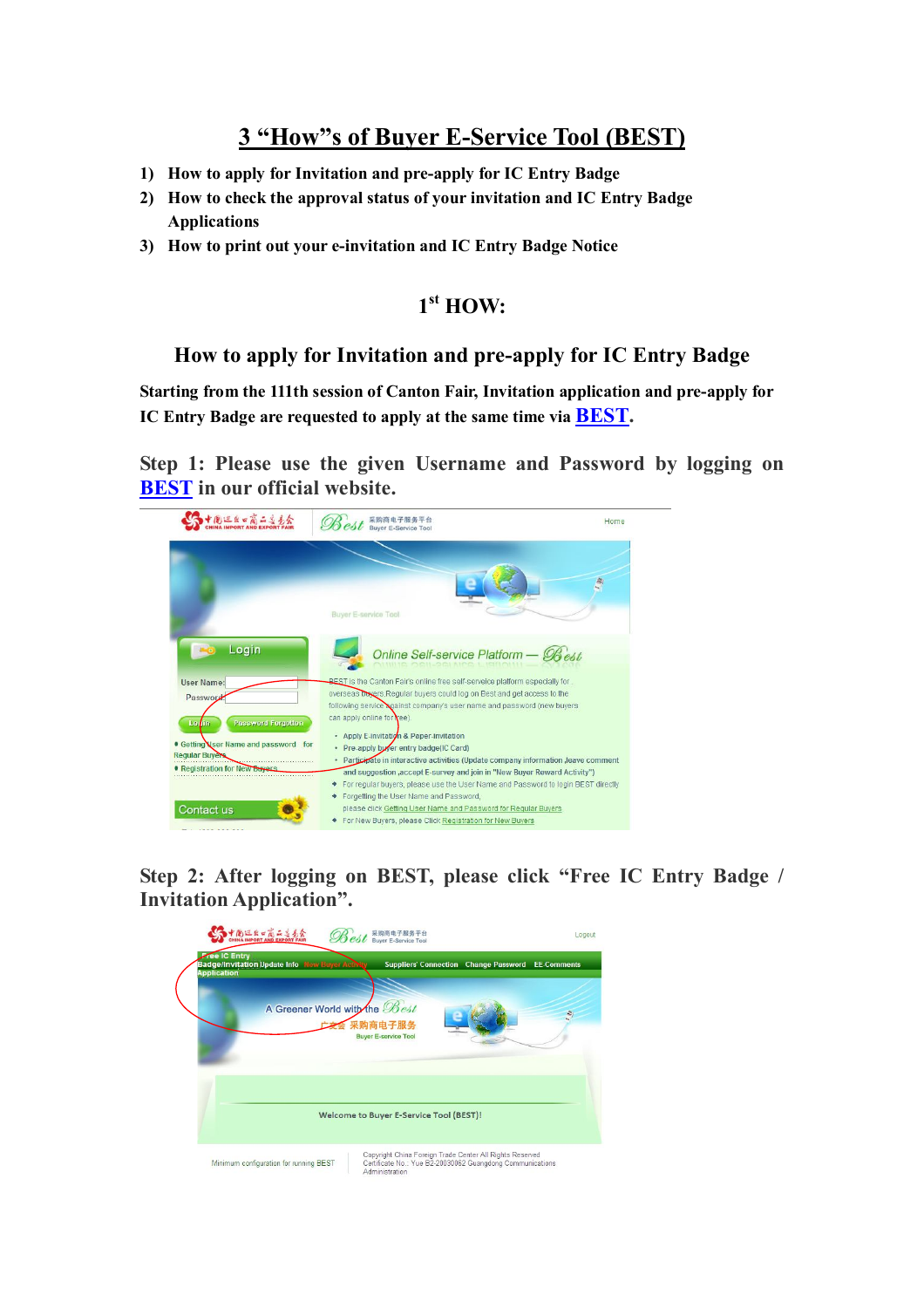# **3 "How"s of Buyer E-Service Tool (BEST)**

- **1) How to apply for Invitation and pre-apply for IC Entry Badge**
- **2) How to check the approval status of your invitation and IC Entry Badge Applications**
- **3) How to print out your e-invitation and IC Entry Badge Notice**

### **1 st HOW:**

#### **How to apply for Invitation and pre-apply for IC Entry Badge**

**Starting from the 111th session of Canton Fair, Invitation application and pre-apply for IC Entry Badge are requested to apply at the same time via BEST.**

**Step 1: Please use the given Username and Password by logging on BEST in our official website.**



**Step 2: After logging on BEST, please click "Free IC Entry Badge / Invitation Application".**

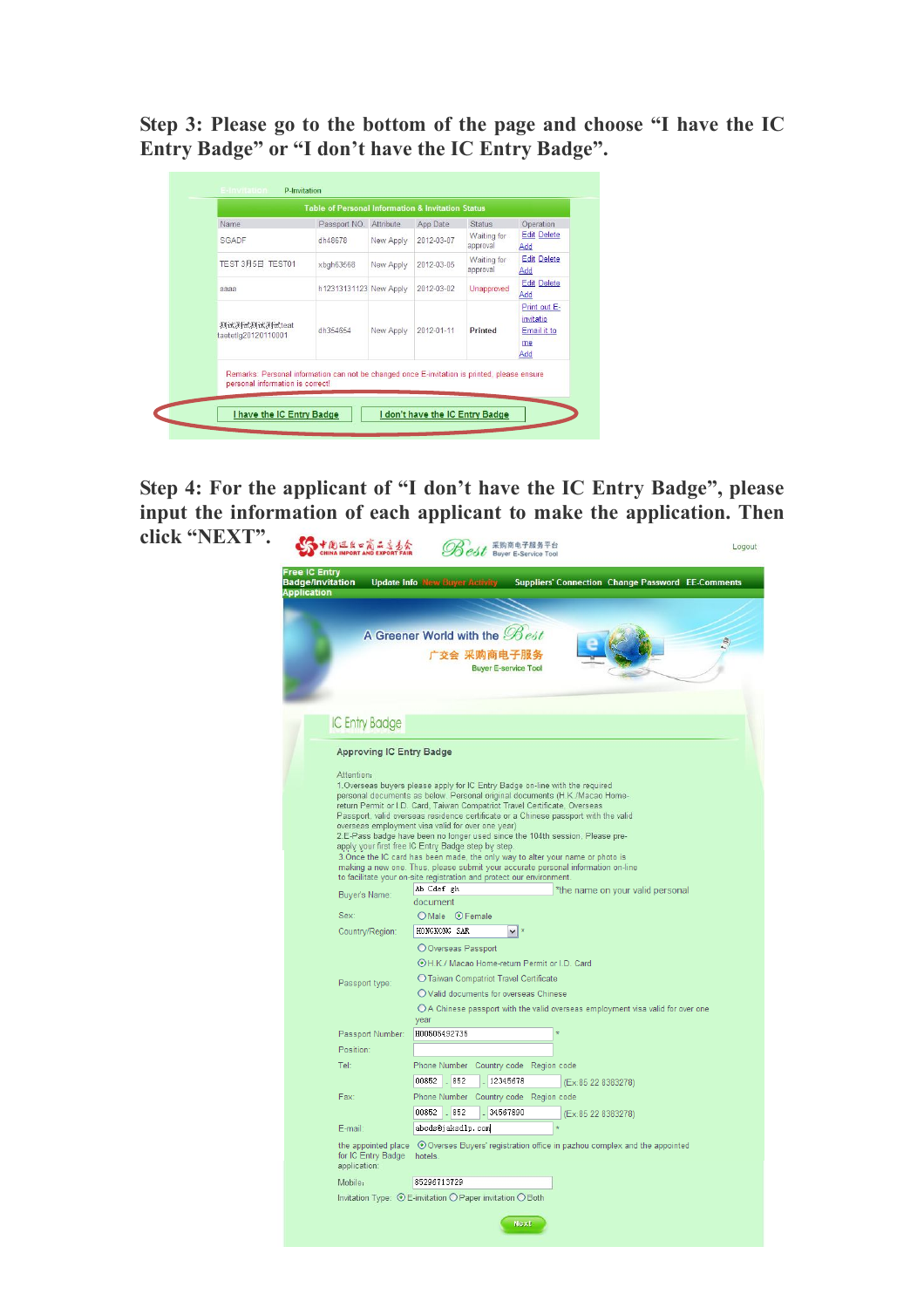**Step 3: Please go to the bottom of the page and choose "I have the IC Entry Badge" or "I don't have the IC Entry Badge".**

| Name                                | Passport NO.           | Attribute | App Date   | <b>Status</b>                  | Operation                                             |
|-------------------------------------|------------------------|-----------|------------|--------------------------------|-------------------------------------------------------|
| SGADE                               | dh48678                | New Apply | 2012-03-07 | Waiting for<br>approval        | <b>Edit Delete</b><br>Add                             |
| TEST 3月5日 TEST01                    | xbgh63568              | New Apply | 2012-03-05 | <b>Waiting for</b><br>approval | <b>Edit Delete</b><br>Add                             |
| аааа                                | h12313131123 New Apply |           | 2012-03-02 | Unapproved                     | <b>Edit Delete</b><br>Add                             |
| 测试测试测试测试teat<br>taetetlg20120110001 | dh354654               | New Apply | 2012-01-11 | Printed                        | Print out E-<br>invitatio<br>Email it to<br>me<br>Add |

**Step 4: For the applicant of "I don't have the IC Entry Badge", please input the information of each applicant to make the application. Then click "NEXT".**Straus Mean and Exported Logout

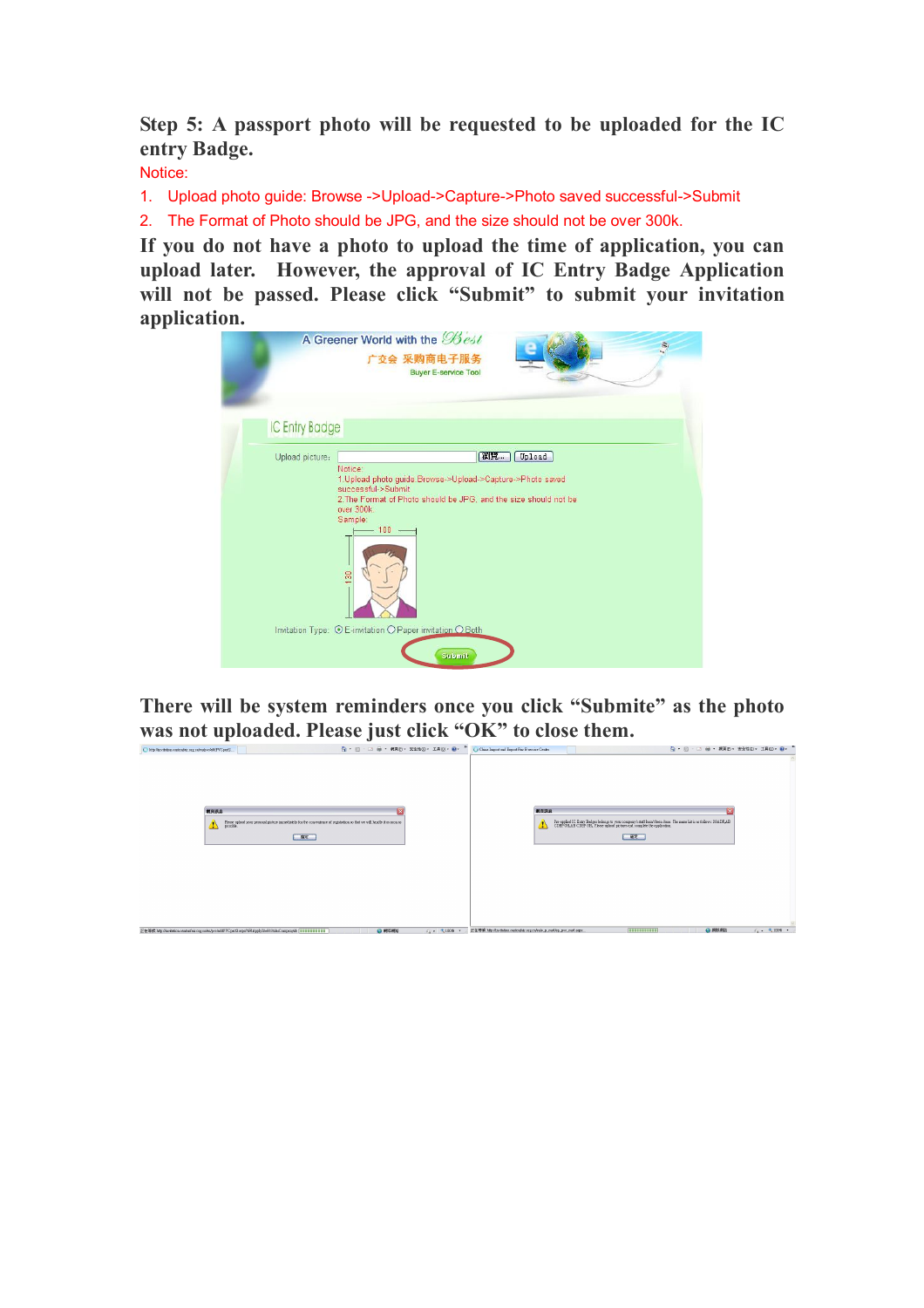**Step 5: A passport photo will be requested to be uploaded for the IC entry Badge.** 

Notice:

1. Upload photo guide: Browse ->Upload->Capture->Photo saved successful->Submit

2. The Format of Photo should be JPG, and the size should not be over 300k.

**If you do not have a photo to upload the time of application, you can upload later. However, the approval of IC Entry Badge Application will not be passed. Please click "Submit" to submit your invitation application.**

| A Greener World with the Best<br>ŝ,<br>安会 采购商电子服务<br><b>Buyer E-service Tool</b>                                                                                                                                                               |
|------------------------------------------------------------------------------------------------------------------------------------------------------------------------------------------------------------------------------------------------|
| <b>IC Entry Badge</b>                                                                                                                                                                                                                          |
| 瀏覽<br>Upload<br>Upload picture:<br>Notice:<br>1. Upload photo guide Browse->Upload->Capture->Photo saved<br>successful->Submit<br>2. The Format of Photo should be JPG, and the size should not be<br>over 300k.<br>Sample:<br>$-100 -$<br>130 |
| Invitation Type: © E-invitation O Paper invitation O Both<br>Submit                                                                                                                                                                            |

**There will be system reminders once you click "Submite" as the photo**  Was not uploaded. Please just click "OK" to close them.

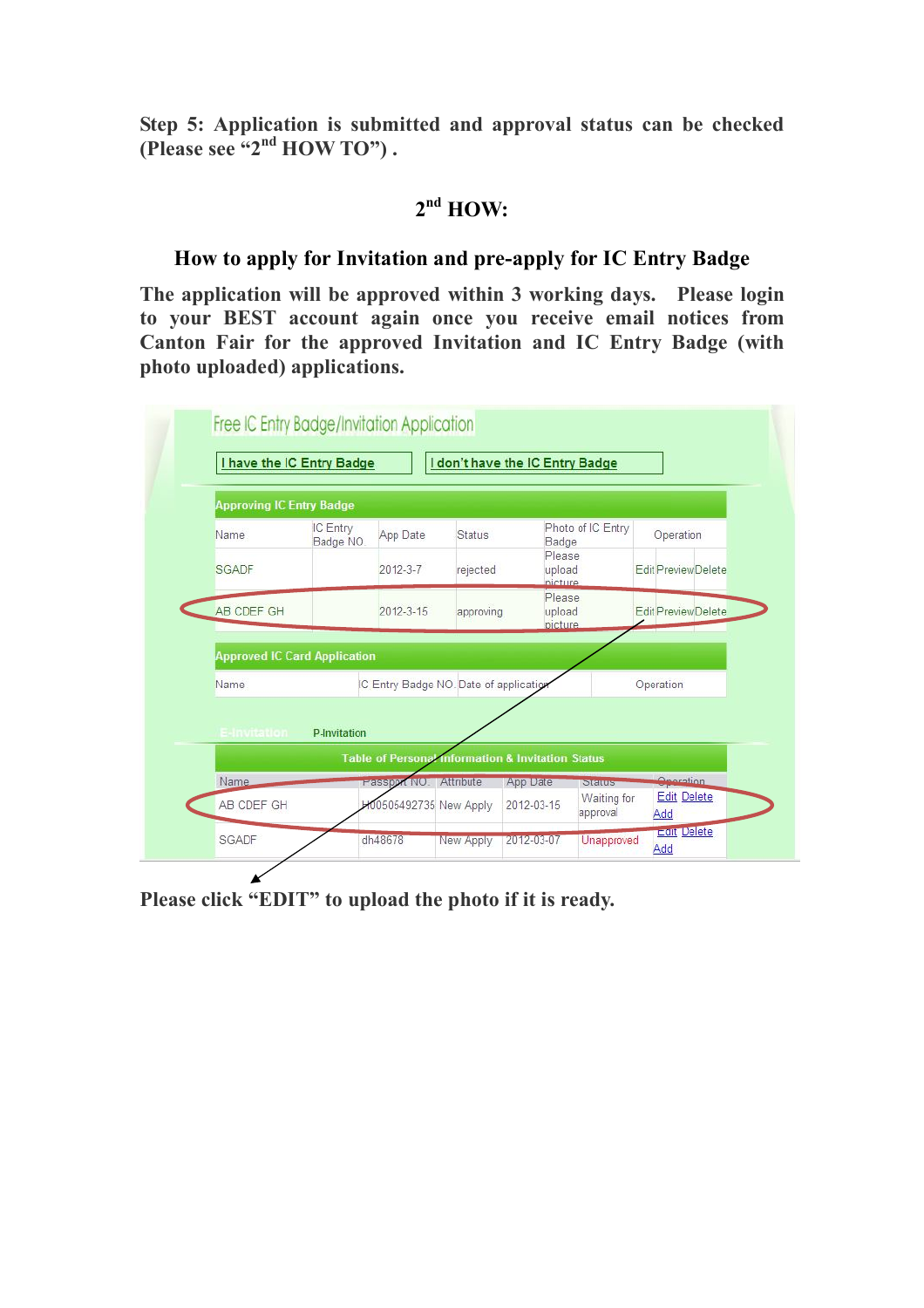**Step 5: Application is submitted and approval status can be checked (Please see "2 nd HOW TO") .**

## **2 nd HOW:**

#### **How to apply for Invitation and pre-apply for IC Entry Badge**

**The application will be approved within 3 working days. Please login to your BEST account again once you receive email notices from Canton Fair for the approved Invitation and IC Entry Badge (with photo uploaded) applications.** 



**Please click "EDIT" to upload the photo if it is ready.**